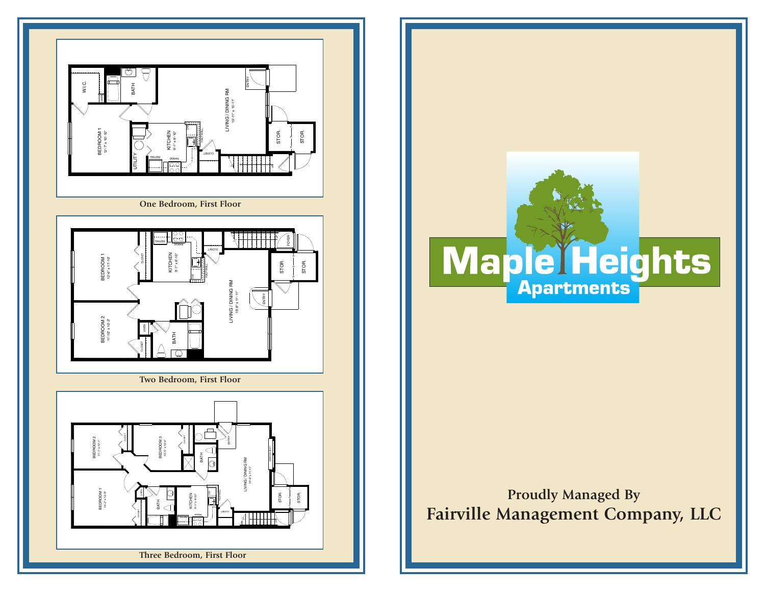



**Proudly Managed By Fairville Management Company, LLC**